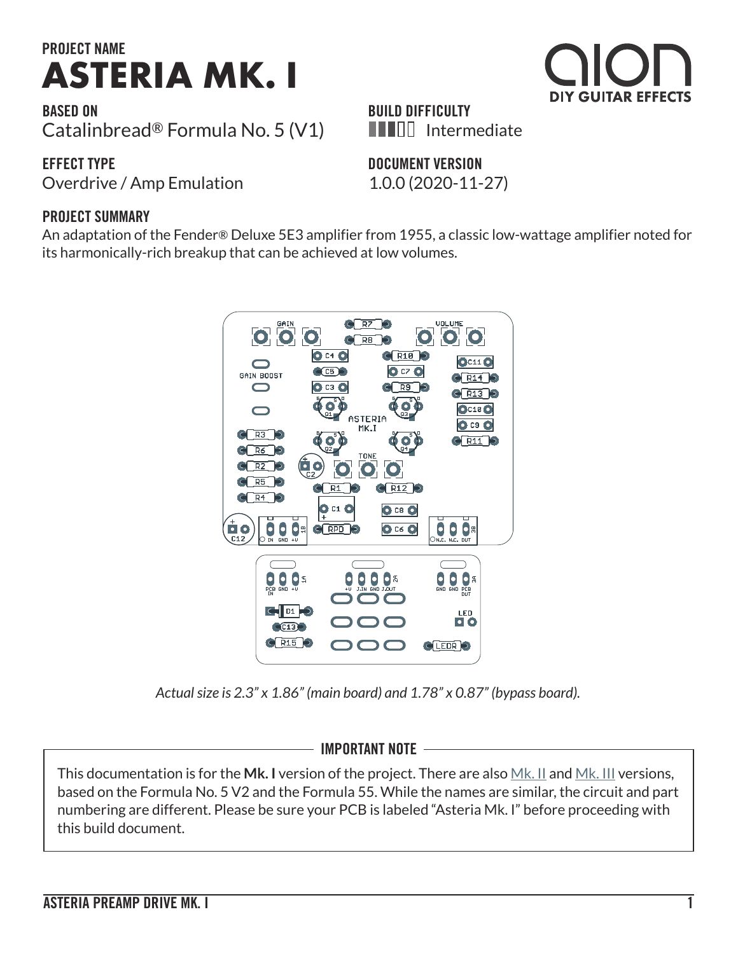

**BASED ON** Catalinbread® Formula No. 5 (V1)

#### **EFFECT TYPE**

Overdrive / Amp Emulation 1.0.0 (2020-11-27)

#### **PROJECT SUMMARY**

An adaptation of the Fender® Deluxe 5E3 amplifier from 1955, a classic low-wattage amplifier noted for its harmonically-rich breakup that can be achieved at low volumes.



*Actual size is 2.3" x 1.86" (main board) and 1.78" x 0.87" (bypass board).*

#### **IMPORTANT NOTE**

This documentation is for the **Mk. I** version of the project. There are also [Mk. II](https://aionfx.com/project/asteria-preamp-drive-mk-ii/) and [Mk. III](https://aionfx.com/project/asteria-preamp-drive-mk-iii/) versions, based on the Formula No. 5 V2 and the Formula 55. While the names are similar, the circuit and part numbering are different. Please be sure your PCB is labeled "Asteria Mk. I" before proceeding with this build document.

**DOCUMENT VERSION**



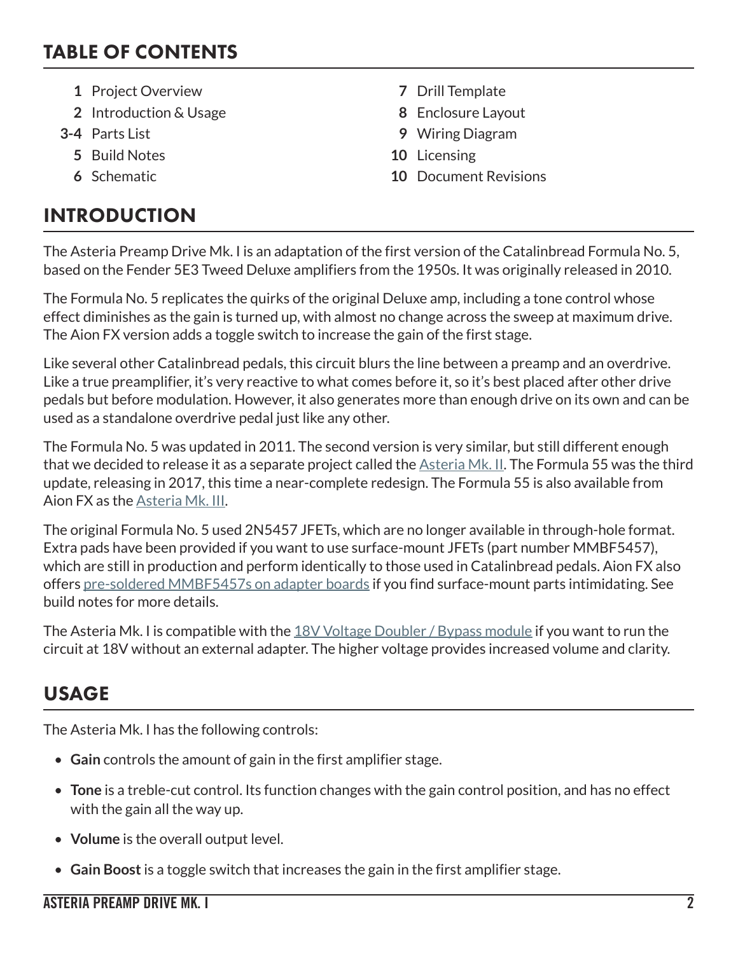# TABLE OF CONTENTS

- **1** Project Overview **7** Drill Template
- **2** Introduction & Usage **8** Enclosure Layout
- - **5** Build Notes **10** Licensing
	-

# INTRODUCTION

- 
- 
- **3-4** Parts List **9** Wiring Diagram
	-
	- **6** Schematic **10** Document Revisions

The Asteria Preamp Drive Mk. I is an adaptation of the first version of the Catalinbread Formula No. 5, based on the Fender 5E3 Tweed Deluxe amplifiers from the 1950s. It was originally released in 2010.

The Formula No. 5 replicates the quirks of the original Deluxe amp, including a tone control whose effect diminishes as the gain is turned up, with almost no change across the sweep at maximum drive. The Aion FX version adds a toggle switch to increase the gain of the first stage.

Like several other Catalinbread pedals, this circuit blurs the line between a preamp and an overdrive. Like a true preamplifier, it's very reactive to what comes before it, so it's best placed after other drive pedals but before modulation. However, it also generates more than enough drive on its own and can be used as a standalone overdrive pedal just like any other.

The Formula No. 5 was updated in 2011. The second version is very similar, but still different enough that we decided to release it as a separate project called the [Asteria Mk. II.](https://aionfx.com/project/asteria-preamp-drive-mk-ii/) The Formula 55 was the third update, releasing in 2017, this time a near-complete redesign. The Formula 55 is also available from Aion FX as the [Asteria Mk. III.](https://aionfx.com/project/asteria-preamp-drive-mk-iii/)

The original Formula No. 5 used 2N5457 JFETs, which are no longer available in through-hole format. Extra pads have been provided if you want to use surface-mount JFETs (part number MMBF5457), which are still in production and perform identically to those used in Catalinbread pedals. Aion FX also offers [pre-soldered MMBF5457s on adapter boards](https://aionfx.com/project/2n5457-jfet/) if you find surface-mount parts intimidating. See build notes for more details.

The Asteria Mk. I is compatible with the [18V Voltage Doubler / Bypass module](https://aionfx.com/project/18v-voltage-doubler-bypass-module/) if you want to run the circuit at 18V without an external adapter. The higher voltage provides increased volume and clarity.

# USAGE

The Asteria Mk. I has the following controls:

- **Gain** controls the amount of gain in the first amplifier stage.
- **Tone** is a treble-cut control. Its function changes with the gain control position, and has no effect with the gain all the way up.
- **Volume** is the overall output level.
- **Gain Boost** is a toggle switch that increases the gain in the first amplifier stage.

#### **ASTERIA PREAMP DRIVE MK. I 2**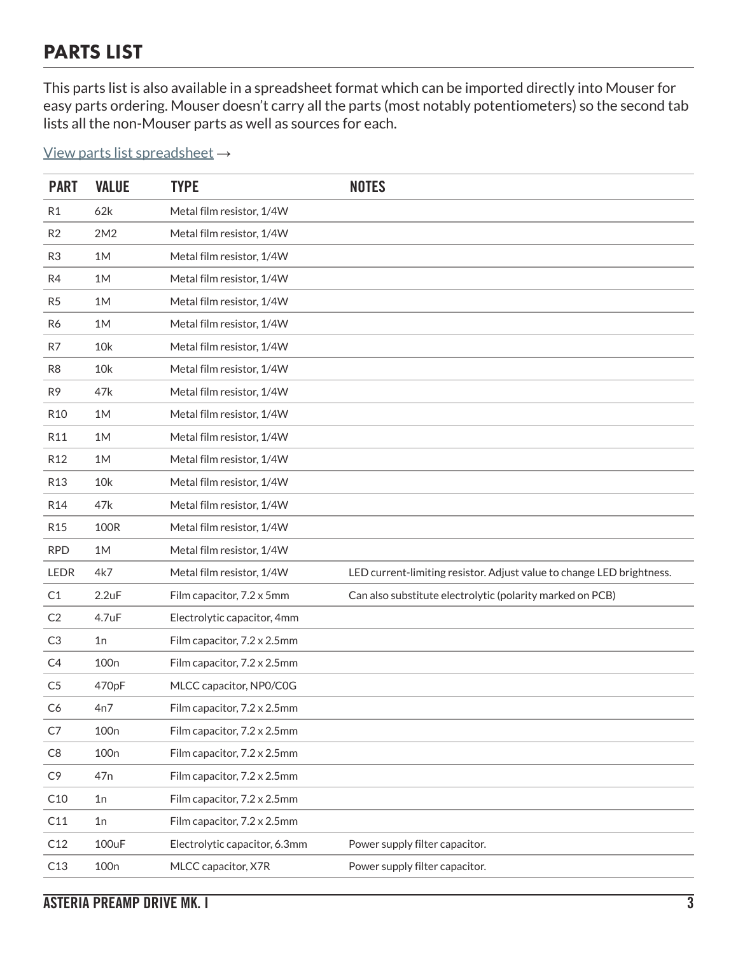# PARTS LIST

This parts list is also available in a spreadsheet format which can be imported directly into Mouser for easy parts ordering. Mouser doesn't carry all the parts (most notably potentiometers) so the second tab lists all the non-Mouser parts as well as sources for each.

[View parts list spreadsheet](https://docs.google.com/spreadsheets/d/1HuqD2DJWMiSbUQ2CpepxWlEP420w8Ie2CZebjGkW1hY/edit?usp=sharing) →

| <b>PART</b>     | <b>VALUE</b>     | <b>TYPE</b>                   | <b>NOTES</b>                                                          |
|-----------------|------------------|-------------------------------|-----------------------------------------------------------------------|
| R <sub>1</sub>  | 62k              | Metal film resistor, 1/4W     |                                                                       |
| R2              | 2M2              | Metal film resistor, 1/4W     |                                                                       |
| R <sub>3</sub>  | 1M               | Metal film resistor, 1/4W     |                                                                       |
| R4              | 1M               | Metal film resistor, 1/4W     |                                                                       |
| R <sub>5</sub>  | 1M               | Metal film resistor, 1/4W     |                                                                       |
| R <sub>6</sub>  | 1M               | Metal film resistor, 1/4W     |                                                                       |
| R7              | 10k              | Metal film resistor, 1/4W     |                                                                       |
| R <sub>8</sub>  | 10k              | Metal film resistor, 1/4W     |                                                                       |
| R <sub>9</sub>  | 47k              | Metal film resistor, 1/4W     |                                                                       |
| R <sub>10</sub> | 1M               | Metal film resistor, 1/4W     |                                                                       |
| R11             | 1M               | Metal film resistor, 1/4W     |                                                                       |
| R <sub>12</sub> | 1M               | Metal film resistor, 1/4W     |                                                                       |
| R <sub>13</sub> | 10k              | Metal film resistor, 1/4W     |                                                                       |
| R <sub>14</sub> | 47k              | Metal film resistor, 1/4W     |                                                                       |
| R <sub>15</sub> | 100R             | Metal film resistor, 1/4W     |                                                                       |
| <b>RPD</b>      | 1M               | Metal film resistor, 1/4W     |                                                                       |
| <b>LEDR</b>     | 4k7              | Metal film resistor, 1/4W     | LED current-limiting resistor. Adjust value to change LED brightness. |
| C1              | 2.2uF            | Film capacitor, 7.2 x 5mm     | Can also substitute electrolytic (polarity marked on PCB)             |
| C <sub>2</sub>  | 4.7uF            | Electrolytic capacitor, 4mm   |                                                                       |
| C3              | 1n               | Film capacitor, 7.2 x 2.5mm   |                                                                       |
| C4              | 100 <sub>n</sub> | Film capacitor, 7.2 x 2.5mm   |                                                                       |
| C <sub>5</sub>  | 470pF            | MLCC capacitor, NP0/C0G       |                                                                       |
| C6              | 4n7              | Film capacitor, 7.2 x 2.5mm   |                                                                       |
| C7              | 100 <sub>n</sub> | Film capacitor, 7.2 x 2.5mm   |                                                                       |
| C <sub>8</sub>  | 100 <sub>n</sub> | Film capacitor, 7.2 x 2.5mm   |                                                                       |
| C <sub>9</sub>  | 47 <sub>n</sub>  | Film capacitor, 7.2 x 2.5mm   |                                                                       |
| C10             | 1n               | Film capacitor, 7.2 x 2.5mm   |                                                                       |
| C11             | 1n               | Film capacitor, 7.2 x 2.5mm   |                                                                       |
| C12             | 100uF            | Electrolytic capacitor, 6.3mm | Power supply filter capacitor.                                        |
| C13             | 100 <sub>n</sub> | MLCC capacitor, X7R           | Power supply filter capacitor.                                        |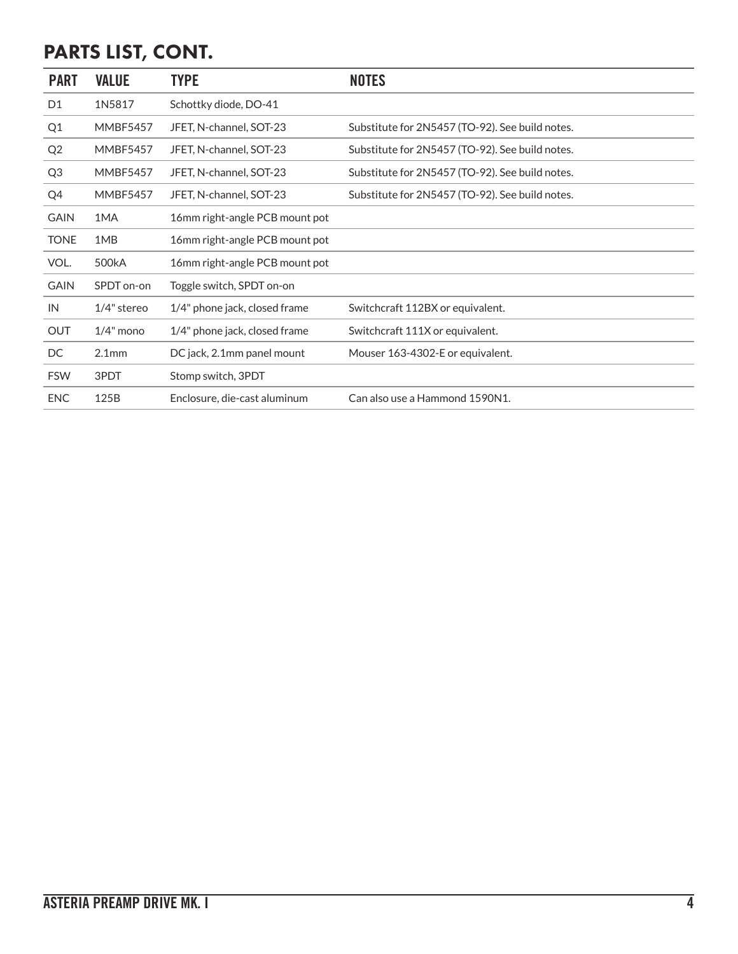# PARTS LIST, CONT.

| <b>PART</b>    | <b>VALUE</b>      | <b>TYPE</b>                    | <b>NOTES</b>                                    |
|----------------|-------------------|--------------------------------|-------------------------------------------------|
| D <sub>1</sub> | 1N5817            | Schottky diode, DO-41          |                                                 |
| Q1             | <b>MMBF5457</b>   | JFET, N-channel, SOT-23        | Substitute for 2N5457 (TO-92). See build notes. |
| Q2             | <b>MMBF5457</b>   | JFET, N-channel, SOT-23        | Substitute for 2N5457 (TO-92). See build notes. |
| Q <sub>3</sub> | <b>MMBF5457</b>   | JFET, N-channel, SOT-23        | Substitute for 2N5457 (TO-92). See build notes. |
| Q4             | <b>MMBF5457</b>   | JFET, N-channel, SOT-23        | Substitute for 2N5457 (TO-92). See build notes. |
| <b>GAIN</b>    | 1MA               | 16mm right-angle PCB mount pot |                                                 |
| <b>TONE</b>    | 1MB               | 16mm right-angle PCB mount pot |                                                 |
| VOL.           | 500kA             | 16mm right-angle PCB mount pot |                                                 |
| <b>GAIN</b>    | SPDT on-on        | Toggle switch, SPDT on-on      |                                                 |
| IN             | $1/4$ " stereo    | 1/4" phone jack, closed frame  | Switchcraft 112BX or equivalent.                |
| <b>OUT</b>     | $1/4$ " mono      | 1/4" phone jack, closed frame  | Switchcraft 111X or equivalent.                 |
| DC             | 2.1 <sub>mm</sub> | DC jack, 2.1mm panel mount     | Mouser 163-4302-E or equivalent.                |
| <b>FSW</b>     | 3PDT              | Stomp switch, 3PDT             |                                                 |
| <b>ENC</b>     | 125B              | Enclosure, die-cast aluminum   | Can also use a Hammond 1590N1.                  |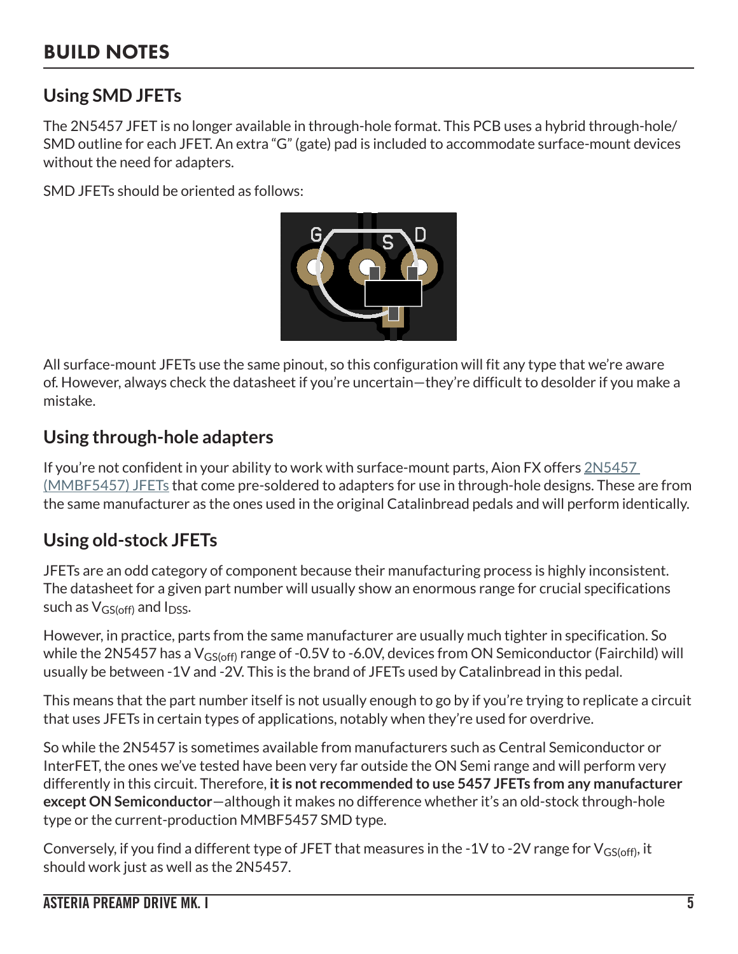# **Using SMD JFETs**

The 2N5457 JFET is no longer available in through-hole format. This PCB uses a hybrid through-hole/ SMD outline for each JFET. An extra "G" (gate) pad is included to accommodate surface-mount devices without the need for adapters.

SMD JFETs should be oriented as follows:



All surface-mount JFETs use the same pinout, so this configuration will fit any type that we're aware of. However, always check the datasheet if you're uncertain—they're difficult to desolder if you make a mistake.

### **Using through-hole adapters**

If you're not confident in your ability to work with surface-mount parts, Aion FX offers [2N5457](https://aionfx.com/project/2n5457-jfet/)  [\(MMBF5457\) JFETs](https://aionfx.com/project/2n5457-jfet/) that come pre-soldered to adapters for use in through-hole designs. These are from the same manufacturer as the ones used in the original Catalinbread pedals and will perform identically.

### **Using old-stock JFETs**

JFETs are an odd category of component because their manufacturing process is highly inconsistent. The datasheet for a given part number will usually show an enormous range for crucial specifications such as  $V_{GS(off)}$  and  $I_{DSS}$ .

However, in practice, parts from the same manufacturer are usually much tighter in specification. So while the 2N5457 has a V<sub>GS(off)</sub> range of -0.5V to -6.0V, devices from ON Semiconductor (Fairchild) will usually be between -1V and -2V. This is the brand of JFETs used by Catalinbread in this pedal.

This means that the part number itself is not usually enough to go by if you're trying to replicate a circuit that uses JFETs in certain types of applications, notably when they're used for overdrive.

So while the 2N5457 is sometimes available from manufacturers such as Central Semiconductor or InterFET, the ones we've tested have been very far outside the ON Semi range and will perform very differently in this circuit. Therefore, **it is not recommended to use 5457 JFETs from any manufacturer except ON Semiconductor**—although it makes no difference whether it's an old-stock through-hole type or the current-production MMBF5457 SMD type.

Conversely, if you find a different type of JFET that measures in the -1V to -2V range for  $V_{GS(off)}$ , it should work just as well as the 2N5457.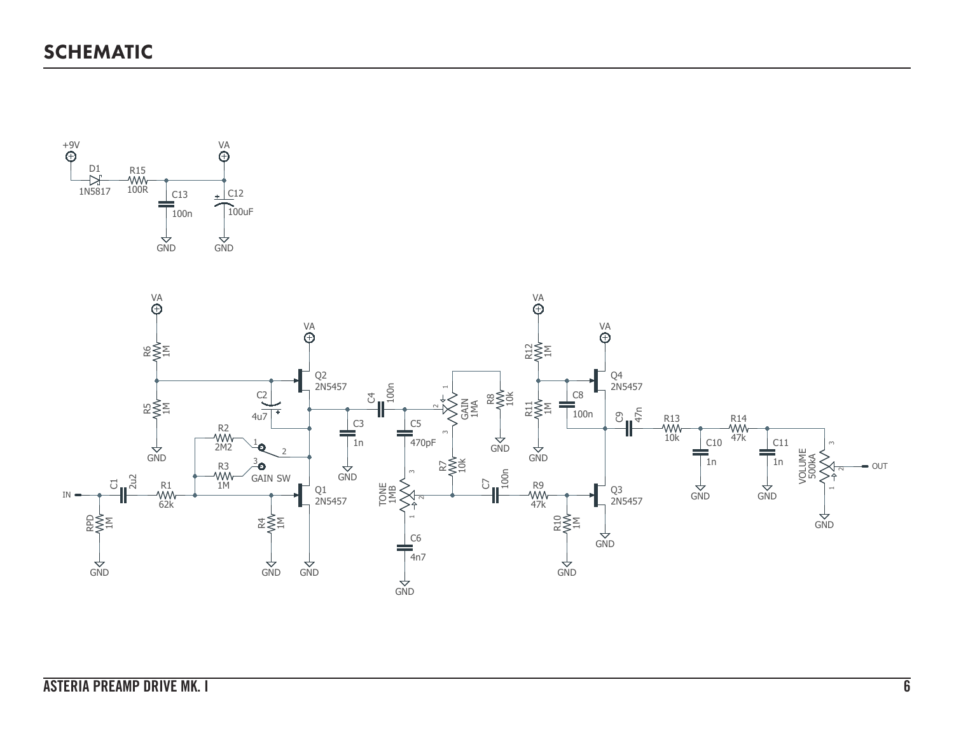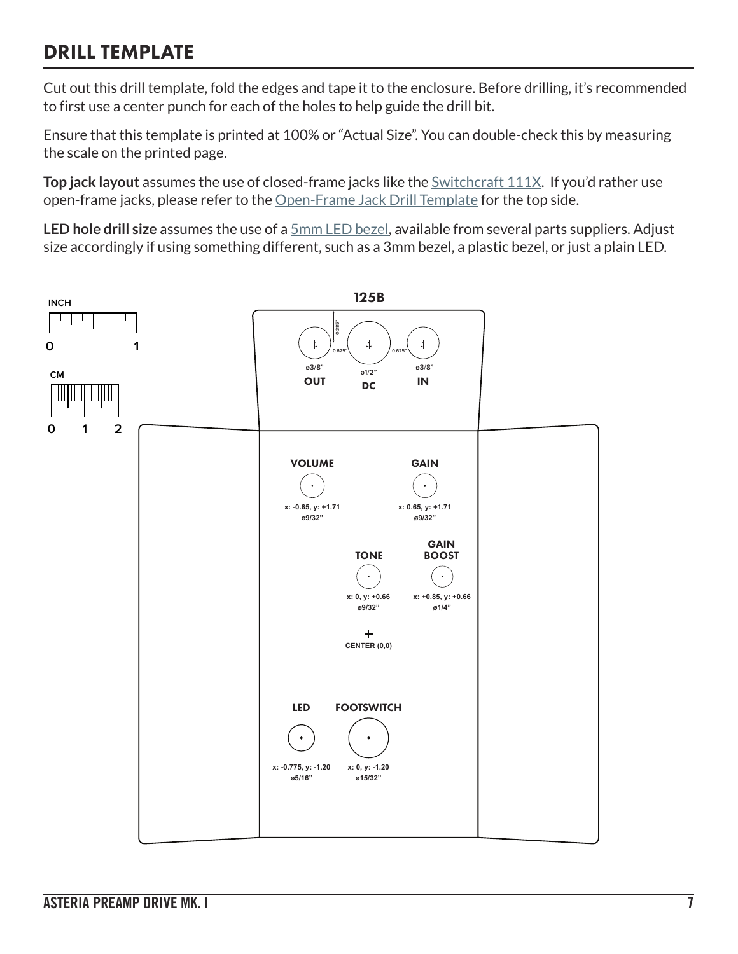# DRILL TEMPLATE

Cut out this drill template, fold the edges and tape it to the enclosure. Before drilling, it's recommended to first use a center punch for each of the holes to help guide the drill bit.

Ensure that this template is printed at 100% or "Actual Size". You can double-check this by measuring the scale on the printed page.

**Top jack layout** assumes the use of closed-frame jacks like the [Switchcraft 111X](https://aionfx.com/link/switchcraft-111/). If you'd rather use open-frame jacks, please refer to the [Open-Frame Jack Drill Template](https://aionfx.com/link/open-frame-drill-template/) for the top side.

**LED hole drill size** assumes the use of a [5mm LED bezel,](https://aionfx.com/link/chrome-bezel-for-5mm-led/) available from several parts suppliers. Adjust size accordingly if using something different, such as a 3mm bezel, a plastic bezel, or just a plain LED.

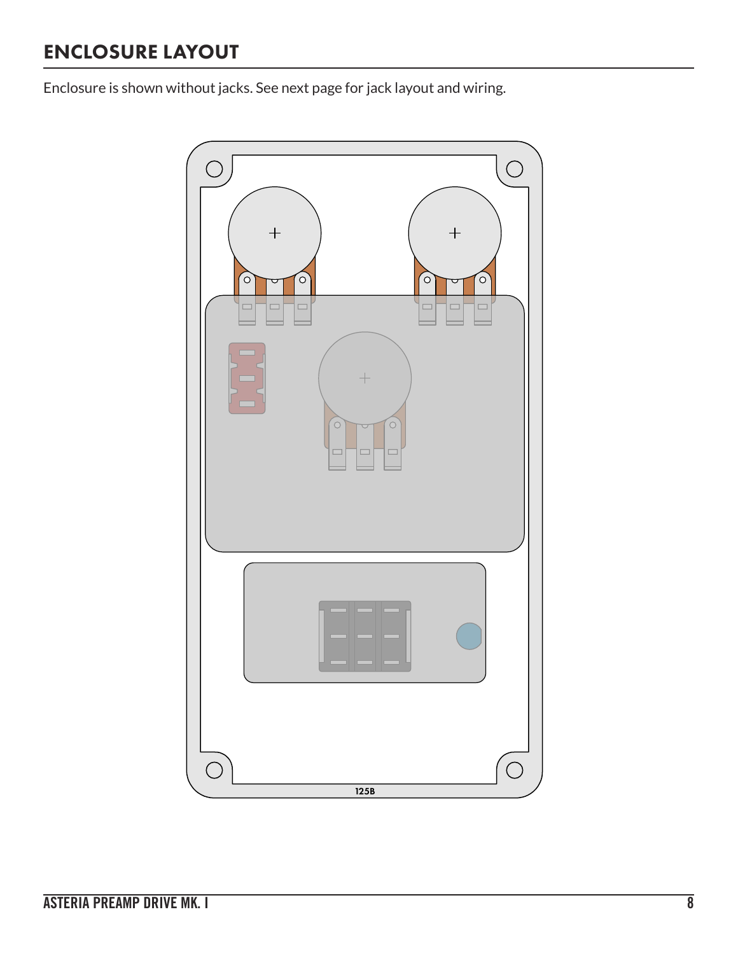# ENCLOSURE LAYOUT

Enclosure is shown without jacks. See next page for jack layout and wiring.

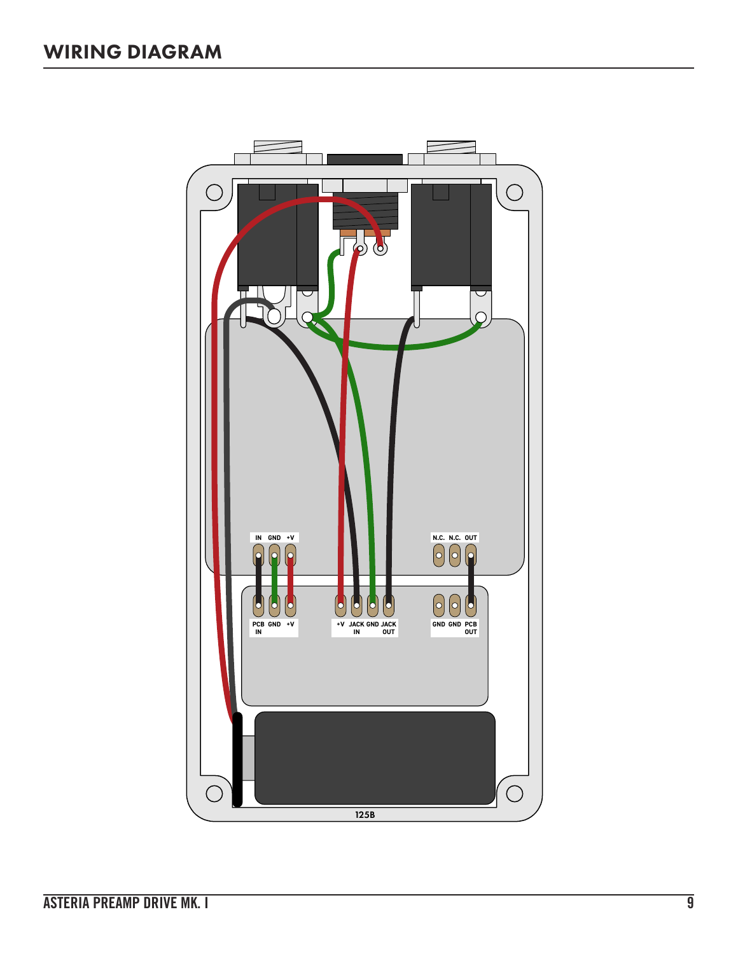